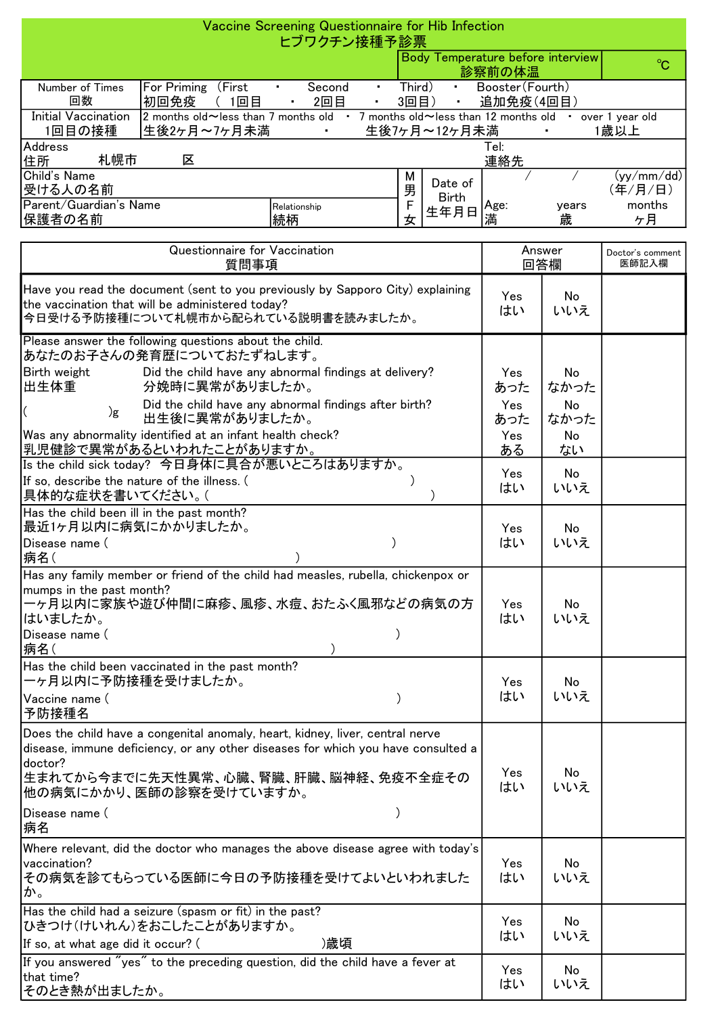| Vaccine Screening Questionnaire for Hib Infection<br>ヒブワクチン接種予診票                                                                                                          |                                                                                                                                                                                                                                        |                |        |                                                           |                                             |                           |                         |  |  |  |
|---------------------------------------------------------------------------------------------------------------------------------------------------------------------------|----------------------------------------------------------------------------------------------------------------------------------------------------------------------------------------------------------------------------------------|----------------|--------|-----------------------------------------------------------|---------------------------------------------|---------------------------|-------------------------|--|--|--|
|                                                                                                                                                                           |                                                                                                                                                                                                                                        |                |        |                                                           | Body Temperature before interview<br>診察前の体温 |                           | $^{\circ}C$             |  |  |  |
| Number of Times<br>回数                                                                                                                                                     | For Priming (First<br>Second<br>$\mathbf{H}^{\text{max}}$                                                                                                                                                                              | $\mathbf{r}$ . |        | Third)<br>Booster (Fourth)<br>$\mathbf{r}$ .<br>追加免疫(4回目) |                                             |                           |                         |  |  |  |
| <b>Initial Vaccination</b>                                                                                                                                                | 2回目<br>初回免疫<br>(1回目<br>2 months old ~ less than 7 months old • 7 months old ~ less than 12 months old • over 1 year old                                                                                                                | $\blacksquare$ | 3回目)   | $\blacksquare$                                            |                                             |                           |                         |  |  |  |
| 生後7ヶ月~12ヶ月未満<br>1回目の接種<br>生後2ヶ月~7ヶ月未満<br>1歳以上<br>$\mathbf{r}$ .<br>Address<br>Tel:                                                                                        |                                                                                                                                                                                                                                        |                |        |                                                           |                                             |                           |                         |  |  |  |
| 札幌市<br>区<br>連絡先<br>住所<br>Child's Name                                                                                                                                     |                                                                                                                                                                                                                                        |                |        |                                                           |                                             |                           |                         |  |  |  |
| 受ける人の名前                                                                                                                                                                   |                                                                                                                                                                                                                                        |                | М<br>男 | Date of<br><b>Birth</b>                                   |                                             |                           | (yy/mm / dd)<br>(年/月/日) |  |  |  |
| Parent/Guardian's Name<br> 保護者の名前                                                                                                                                         | Relationship<br> 続柄                                                                                                                                                                                                                    |                | F<br>女 | 生年月日                                                      | Age:<br>満                                   | years<br>歳                | months<br>ヶ月            |  |  |  |
| Questionnaire for Vaccination<br>質問事項                                                                                                                                     |                                                                                                                                                                                                                                        |                |        |                                                           | Answer<br>回答欄                               | Doctor's comment<br>医師記入欄 |                         |  |  |  |
| Have you read the document (sent to you previously by Sapporo City) explaining<br>the vaccination that will be administered today?<br>今日受ける予防接種について札幌市から配られている説明書を読みましたか。 |                                                                                                                                                                                                                                        |                |        |                                                           | Yes<br>はい                                   | No<br>いいえ                 |                         |  |  |  |
|                                                                                                                                                                           | Please answer the following questions about the child.<br>あなたのお子さんの発育歴についておたずねします。                                                                                                                                                     |                |        |                                                           |                                             |                           |                         |  |  |  |
| Birth weight<br> 出生体重                                                                                                                                                     | Did the child have any abnormal findings at delivery?<br>分娩時に異常がありましたか。                                                                                                                                                                |                |        |                                                           | Yes<br>あった                                  | No<br>なかった                |                         |  |  |  |
| )g                                                                                                                                                                        | Did the child have any abnormal findings after birth?<br>出生後に異常がありましたか。                                                                                                                                                                |                |        |                                                           | Yes<br>あった                                  | No<br>なかった                |                         |  |  |  |
| Was any abnormality identified at an infant health check?<br> 乳児健診で異常があるといわれたことがありますか。<br>Is the child sick today? 今日身体に具合が悪いところはありますか。                                   |                                                                                                                                                                                                                                        |                |        |                                                           | Yes<br>ある                                   | No<br>ない                  |                         |  |  |  |
| If so, describe the nature of the illness. (<br> 具体的な症状を書いてください。(                                                                                                         |                                                                                                                                                                                                                                        |                |        |                                                           | Yes<br>はい                                   | No<br>いいえ                 |                         |  |  |  |
| Has the child been ill in the past month?<br> 最近1ヶ月以内に病気にかかりましたか。                                                                                                         |                                                                                                                                                                                                                                        |                |        |                                                           | Yes                                         | No                        |                         |  |  |  |
| Disease name (<br>病名(                                                                                                                                                     |                                                                                                                                                                                                                                        |                |        |                                                           | はい                                          | いいえ                       |                         |  |  |  |
| mumps in the past month?<br> はいましたか。<br>Disease name (                                                                                                                    | Has any family member or friend of the child had measles, rubella, chickenpox or<br> 一ヶ月以内に家族や遊び仲間に麻疹、風疹、水痘、おたふく風邪などの病気の方                                                                                                              |                |        |                                                           | Yes<br>はい                                   | No<br>いいえ                 |                         |  |  |  |
| 病名(<br>ーヶ月以内に予防接種を受けましたか。                                                                                                                                                 | Has the child been vaccinated in the past month?                                                                                                                                                                                       |                |        |                                                           | Yes                                         | No                        |                         |  |  |  |
| Vaccine name (<br> 予防接種名                                                                                                                                                  |                                                                                                                                                                                                                                        |                |        |                                                           | はい                                          | いいえ                       |                         |  |  |  |
| doctor?                                                                                                                                                                   | Does the child have a congenital anomaly, heart, kidney, liver, central nerve<br>disease, immune deficiency, or any other diseases for which you have consulted a<br> 生まれてから今までに先天性異常、心臓、腎臓、肝臓、脳神経、免疫不全症その<br> 他の病気にかかり、医師の診察を受けていますか。 |                |        |                                                           | Yes<br>はい                                   | No<br>いいえ                 |                         |  |  |  |
| Disease name (<br> 病名                                                                                                                                                     |                                                                                                                                                                                                                                        |                |        |                                                           |                                             |                           |                         |  |  |  |
| vaccination?<br>か。                                                                                                                                                        | Where relevant, did the doctor who manages the above disease agree with today's<br> その病気を診てもらっている医師に今日の予防接種を受けてよいといわれました                                                                                                               |                |        |                                                           | Yes<br>はい                                   | No<br>いいえ                 |                         |  |  |  |
| If so, at what age did it occur? (                                                                                                                                        | Has the child had a seizure (spasm or fit) in the past?<br> ひきつけ(けいれん)をおこしたことがありますか。                                                                                                                                                   | )歳頃            |        |                                                           | Yes<br>はい                                   | No<br>いいえ                 |                         |  |  |  |
| that time?<br>そのとき熱が出ましたか。                                                                                                                                                | If you answered "yes" to the preceding question, did the child have a fever at                                                                                                                                                         |                |        |                                                           | Yes<br>はい                                   | No<br>いいえ                 |                         |  |  |  |